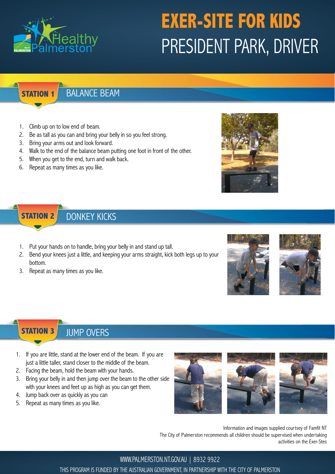

# **EXER-SITE FOR KIDS** PRESIDENT PARK, DRIVER

### **STATION 1**

### BALANCE BEAM

- 1. Climb up on to low end of beam.
- 2. Be as tall as you can and bring your belly in so you feel strong.
- 3. Bring your arms out and look forward.
- 4. Walk to the end of the balance beam putting one foot in front of the other.
- 5. When you get to the end, turn and walk back.
- 6. Repeat as many times as you like.



#### **STATION 2** DONKEY KICKS

- 1. Put your hands on to handle, bring your belly in and stand up tall.
- 2. Bend your knees just a little, and keeping your arms straight, kick both legs up to your bottom.
- 3. Repeat as many times as you like.





#### **STATION 3** JUMP OVERS

- 1. If you are little, stand at the lower end of the beam. If you are just a little taller, stand closer to the middle of the beam.
- 2. Facing the beam, hold the beam with your hands.
- 3. Bring your belly in and then jump over the beam to the other side with your knees and feet up as high as you can get them.
- 4. Jump back over as quickly as you can
- 5. Repeat as many times as you like.



Information and images supplied courtsey of Famfit NT The City of Palmerston recommends all children should be supervised when undertaking activities on the Exer-Stes

WWW.PALMERSTON.NT.GOV.AU | 8932 9922